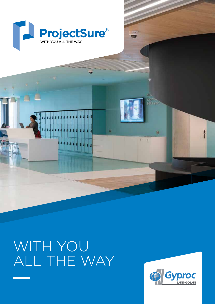

# WITH YOU ALL THE WAY



Nat-

ă

n

sivilla Centre

程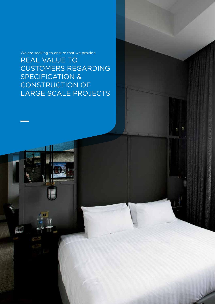We are seeking to ensure that we provide

REAL VALUE TO CUSTOMERS REGARDING SPECIFICATION & CONSTRUCTION OF LARGE SCALE PROJECTS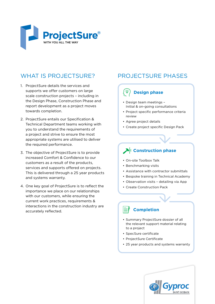

# WHAT IS PROJECTSURE?

- 1. ProjectSure details the services and supports we offer customers on large scale construction projects – including in the Design Phase, Construction Phase and report development as a project moves towards completion.
- 2. ProjectSure entails our Specification & Technical Department teams working with you to understand the requirements of a project and strive to ensure the most appropriate systems are utilised to deliver the required performance.
- 3. The objective of ProjectSure is to provide increased Comfort & Confidence to our customers as a result of the products, services and supports offered on projects. This is delivered through a 25 year products and systems warranty.
- 4. One key goal of ProjectSure is to reflect the importance we place on our relationships with our customers, while ensuring the current work practices, requirements & interactions in the construction industry are accurately reflected.

## PROJECTSURE PHASES

#### ୕ଡ଼ **Design phase**

- Design team meetings Initial & on-going consultations
- Project specific performance criteria review
- Agree project details
- Create project specific Design Pack

## **Construction phase**

- On-site Toolbox Talk
- Benchmarking visits
- Assistance with contractor submittals
- Bespoke training in Technical Academy
- Observation visits detailing via App
- Create Construction Pack

### **Completion**

- Summary ProjectSure dossier of all the relevant support material relating to a project
- SpecSure certificate
- ProjectSure Certificate
- 25 year products and systems warranty